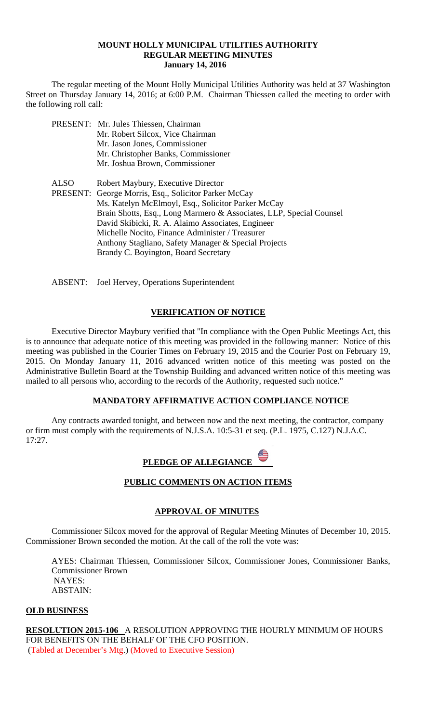## **MOUNT HOLLY MUNICIPAL UTILITIES AUTHORITY REGULAR MEETING MINUTES January 14, 2016**

 The regular meeting of the Mount Holly Municipal Utilities Authority was held at 37 Washington Street on Thursday January 14, 2016; at 6:00 P.M. Chairman Thiessen called the meeting to order with the following roll call:

- PRESENT: Mr. Jules Thiessen, Chairman Mr. Robert Silcox, Vice Chairman Mr. Jason Jones, Commissioner Mr. Christopher Banks, Commissioner Mr. Joshua Brown, Commissioner
- ALSO Robert Maybury, Executive Director PRESENT: George Morris, Esq., Solicitor Parker McCay Ms. Katelyn McElmoyl, Esq., Solicitor Parker McCay Brain Shotts, Esq., Long Marmero & Associates, LLP, Special Counsel David Skibicki, R. A. Alaimo Associates, Engineer Michelle Nocito, Finance Administer / Treasurer Anthony Stagliano, Safety Manager & Special Projects Brandy C. Boyington, Board Secretary
- ABSENT: Joel Hervey, Operations Superintendent

## **VERIFICATION OF NOTICE**

 Executive Director Maybury verified that "In compliance with the Open Public Meetings Act, this is to announce that adequate notice of this meeting was provided in the following manner: Notice of this meeting was published in the Courier Times on February 19, 2015 and the Courier Post on February 19, 2015. On Monday January 11, 2016 advanced written notice of this meeting was posted on the Administrative Bulletin Board at the Township Building and advanced written notice of this meeting was mailed to all persons who, according to the records of the Authority, requested such notice."

## **MANDATORY AFFIRMATIVE ACTION COMPLIANCE NOTICE**

 Any contracts awarded tonight, and between now and the next meeting, the contractor, company or firm must comply with the requirements of N.J.S.A. 10:5-31 et seq. (P.L. 1975, C.127) N.J.A.C. 17:27.

| PLEDGE OF ALLEGIANCE |  |
|----------------------|--|
|----------------------|--|

## **PUBLIC COMMENTS ON ACTION ITEMS**

## **APPROVAL OF MINUTES**

Commissioner Silcox moved for the approval of Regular Meeting Minutes of December 10, 2015. Commissioner Brown seconded the motion. At the call of the roll the vote was:

AYES: Chairman Thiessen, Commissioner Silcox, Commissioner Jones, Commissioner Banks, Commissioner Brown NAYES: ABSTAIN:

## **OLD BUSINESS**

**RESOLUTION 2015-106** A RESOLUTION APPROVING THE HOURLY MINIMUM OF HOURS FOR BENEFITS ON THE BEHALF OF THE CFO POSITION. (Tabled at December's Mtg.) (Moved to Executive Session)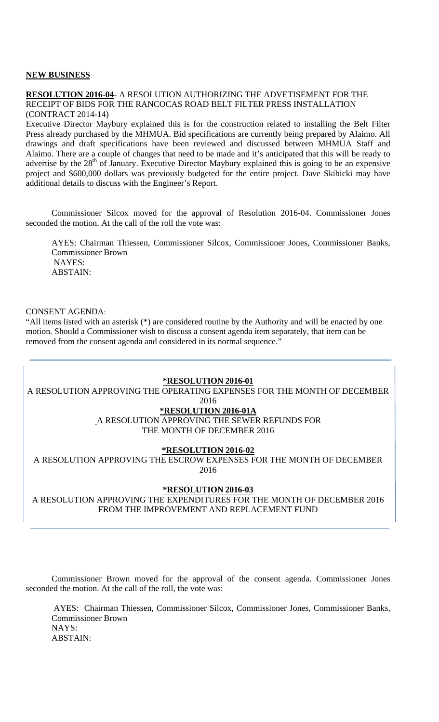#### **NEW BUSINESS**

#### **RESOLUTION 2016-04**- A RESOLUTION AUTHORIZING THE ADVETISEMENT FOR THE RECEIPT OF BIDS FOR THE RANCOCAS ROAD BELT FILTER PRESS INSTALLATION (CONTRACT 2014-14)

Executive Director Maybury explained this is for the construction related to installing the Belt Filter Press already purchased by the MHMUA. Bid specifications are currently being prepared by Alaimo. All drawings and draft specifications have been reviewed and discussed between MHMUA Staff and Alaimo. There are a couple of changes that need to be made and it's anticipated that this will be ready to advertise by the 28<sup>th</sup> of January. Executive Director Maybury explained this is going to be an expensive project and \$600,000 dollars was previously budgeted for the entire project. Dave Skibicki may have additional details to discuss with the Engineer's Report.

Commissioner Silcox moved for the approval of Resolution 2016-04. Commissioner Jones seconded the motion. At the call of the roll the vote was:

AYES: Chairman Thiessen, Commissioner Silcox, Commissioner Jones, Commissioner Banks, Commissioner Brown NAYES: ABSTAIN:

## CONSENT AGENDA:

"All items listed with an asterisk (\*) are considered routine by the Authority and will be enacted by one motion. Should a Commissioner wish to discuss a consent agenda item separately, that item can be removed from the consent agenda and considered in its normal sequence."

#### **\*RESOLUTION 2016-01**

A RESOLUTION APPROVING THE OPERATING EXPENSES FOR THE MONTH OF DECEMBER

2016

# **\*RESOLUTION 2016-01A**

A RESOLUTION APPROVING THE SEWER REFUNDS FOR THE MONTH OF DECEMBER 2016

#### **\*RESOLUTION 2016-02**

A RESOLUTION APPROVING THE ESCROW EXPENSES FOR THE MONTH OF DECEMBER 2016

#### **\*RESOLUTION 2016-03**

A RESOLUTION APPROVING THE EXPENDITURES FOR THE MONTH OF DECEMBER 2016 FROM THE IMPROVEMENT AND REPLACEMENT FUND

Commissioner Brown moved for the approval of the consent agenda. Commissioner Jones seconded the motion. At the call of the roll, the vote was:

 AYES: Chairman Thiessen, Commissioner Silcox, Commissioner Jones, Commissioner Banks, Commissioner Brown NAYS: ABSTAIN: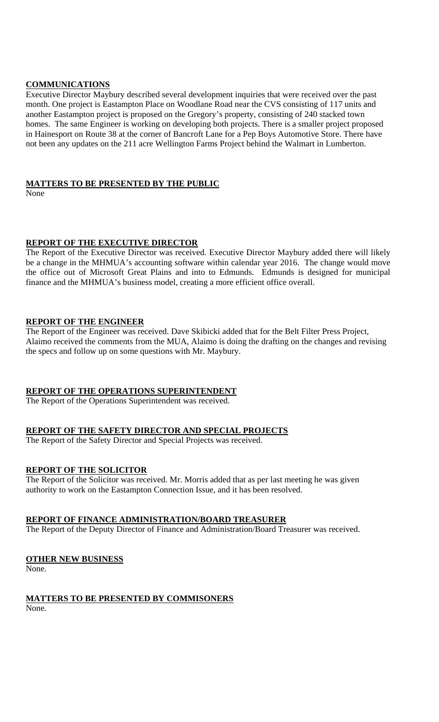## **COMMUNICATIONS**

Executive Director Maybury described several development inquiries that were received over the past month. One project is Eastampton Place on Woodlane Road near the CVS consisting of 117 units and another Eastampton project is proposed on the Gregory's property, consisting of 240 stacked town homes. The same Engineer is working on developing both projects. There is a smaller project proposed in Hainesport on Route 38 at the corner of Bancroft Lane for a Pep Boys Automotive Store. There have not been any updates on the 211 acre Wellington Farms Project behind the Walmart in Lumberton.

#### **MATTERS TO BE PRESENTED BY THE PUBLIC**

None

## **REPORT OF THE EXECUTIVE DIRECTOR**

The Report of the Executive Director was received. Executive Director Maybury added there will likely be a change in the MHMUA's accounting software within calendar year 2016. The change would move the office out of Microsoft Great Plains and into to Edmunds. Edmunds is designed for municipal finance and the MHMUA's business model, creating a more efficient office overall.

#### **REPORT OF THE ENGINEER**

The Report of the Engineer was received. Dave Skibicki added that for the Belt Filter Press Project, Alaimo received the comments from the MUA, Alaimo is doing the drafting on the changes and revising the specs and follow up on some questions with Mr. Maybury.

## **REPORT OF THE OPERATIONS SUPERINTENDENT**

The Report of the Operations Superintendent was received.

## **REPORT OF THE SAFETY DIRECTOR AND SPECIAL PROJECTS**

The Report of the Safety Director and Special Projects was received.

## **REPORT OF THE SOLICITOR**

The Report of the Solicitor was received. Mr. Morris added that as per last meeting he was given authority to work on the Eastampton Connection Issue, and it has been resolved.

## **REPORT OF FINANCE ADMINISTRATION/BOARD TREASURER**

The Report of the Deputy Director of Finance and Administration/Board Treasurer was received.

## **OTHER NEW BUSINESS**

None.

# **MATTERS TO BE PRESENTED BY COMMISONERS**

None.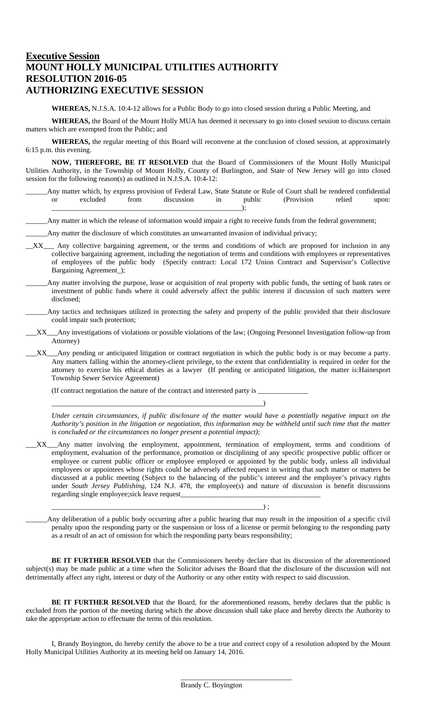# **Executive Session MOUNT HOLLY MUNICIPAL UTILITIES AUTHORITY RESOLUTION 2016-05 AUTHORIZING EXECUTIVE SESSION**

**WHEREAS,** N.J.S.A. 10:4-12 allows for a Public Body to go into closed session during a Public Meeting, and

**WHEREAS,** the Board of the Mount Holly MUA has deemed it necessary to go into closed session to discuss certain matters which are exempted from the Public; and

**WHEREAS,** the regular meeting of this Board will reconvene at the conclusion of closed session, at approximately 6:15 p.m. this evening.

**NOW, THEREFORE, BE IT RESOLVED** that the Board of Commissioners of the Mount Holly Municipal Utilities Authority, in the Township of Mount Holly, County of Burlington, and State of New Jersey will go into closed session for the following reason(s) as outlined in N.J.S.A. 10:4-12:

Any matter which, by express provision of Federal Law, State Statute or Rule of Court shall be rendered confidential or excluded from discussion in public (Provision relied upon: \_\_\_\_\_\_\_\_\_\_\_\_\_\_\_\_\_\_\_\_\_\_\_\_\_\_\_\_\_\_\_\_\_\_\_\_\_\_\_\_\_\_\_\_\_\_\_\_\_\_\_\_\_);

Any matter in which the release of information would impair a right to receive funds from the federal government;

\_\_\_\_\_\_Any matter the disclosure of which constitutes an unwarranted invasion of individual privacy;

- XX\_\_\_ Any collective bargaining agreement, or the terms and conditions of which are proposed for inclusion in any collective bargaining agreement, including the negotiation of terms and conditions with employees or representatives of employees of the public body (Specify contract: Local 172 Union Contract and Supervisor's Collective Bargaining Agreement\_);
- Any matter involving the purpose, lease or acquisition of real property with public funds, the setting of bank rates or investment of public funds where it could adversely affect the public interest if discussion of such matters were disclosed;
	- Any tactics and techniques utilized in protecting the safety and property of the public provided that their disclosure could impair such protection;
- \_\_\_XX\_\_\_Any investigations of violations or possible violations of the law; (Ongoing Personnel Investigation follow-up from Attorney)
- \_\_\_XX\_\_\_Any pending or anticipated litigation or contract negotiation in which the public body is or may become a party. Any matters falling within the attorney-client privilege, to the extent that confidentiality is required in order for the attorney to exercise his ethical duties as a lawyer (If pending or anticipated litigation, the matter is:Hainesport Township Sewer Service Agreement)

(If contract negotiation the nature of the contract and interested party is \_

\_\_\_\_\_\_\_\_\_\_\_\_\_\_\_\_\_\_\_\_\_\_\_\_\_\_\_\_\_\_\_\_\_\_\_\_\_\_\_\_\_\_\_\_\_\_\_\_\_\_\_\_\_\_\_\_\_\_\_)

\_\_\_\_\_\_\_\_\_\_\_\_\_\_\_\_\_\_\_\_\_\_\_\_\_\_\_\_\_\_\_\_\_\_\_\_\_\_\_\_\_\_\_\_\_\_\_\_\_\_\_\_\_\_\_\_\_\_\_) ;

 $\frac{1}{\sqrt{2}}$  , and the set of the set of the set of the set of the set of the set of the set of the set of the set of the set of the set of the set of the set of the set of the set of the set of the set of the set of the

*Under certain circumstances, if public disclosure of the matter would have a potentially negative impact on the Authority's position in the litigation or negotiation, this information may be withheld until such time that the matter is concluded or the circumstances no longer present a potential impact)*;

\_\_\_XX\_\_\_Any matter involving the employment, appointment, termination of employment, terms and conditions of employment, evaluation of the performance, promotion or disciplining of any specific prospective public officer or employee or current public officer or employee employed or appointed by the public body, unless all individual employees or appointees whose rights could be adversely affected request in writing that such matter or matters be discussed at a public meeting (Subject to the balancing of the public's interest and the employee's privacy rights under *South Jersey Publishing*, 124 N.J. 478, the employee(s) and nature of discussion is benefit discussions regarding single employee;sick leave request\_

Any deliberation of a public body occurring after a public hearing that may result in the imposition of a specific civil penalty upon the responding party or the suspension or loss of a license or permit belonging to the responding party as a result of an act of omission for which the responding party bears responsibility;

**BE IT FURTHER RESOLVED** that the Commissioners hereby declare that its discussion of the aforementioned subject(s) may be made public at a time when the Solicitor advises the Board that the disclosure of the discussion will not detrimentally affect any right, interest or duty of the Authority or any other entity with respect to said discussion.

**BE IT FURTHER RESOLVED** that the Board, for the aforementioned reasons, hereby declares that the public is excluded from the portion of the meeting during which the above discussion shall take place and hereby directs the Authority to take the appropriate action to effectuate the terms of this resolution.

 I, Brandy Boyington, do hereby certify the above to be a true and correct copy of a resolution adopted by the Mount Holly Municipal Utilities Authority at its meeting held on January 14, 2016.